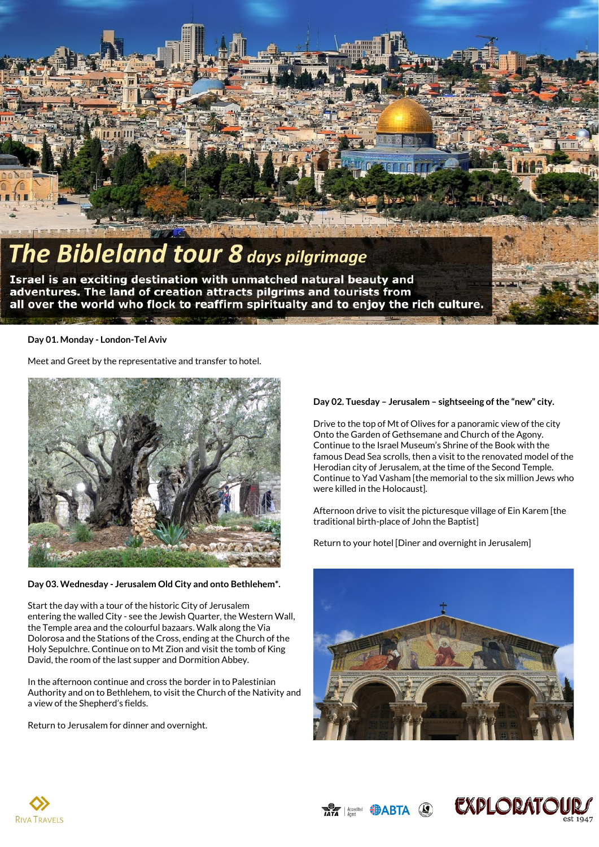

# The Bibleland tour 8 days pilgrimage

Israel is an exciting destination with unmatched natural beauty and adventures. The land of creation attracts pilgrims and tourists from all over the world who flock to reaffirm spiritualty and to enjoy the rich culture.

## **Day 01. Monday - London-Tel Aviv**

Meet and Greet by the representative and transfer to hotel.



**Day 03. Wednesday - Jerusalem Old City and onto Bethlehem\*.**

Start the day with a tour of the historic City of Jerusalem entering the walled City - see the Jewish Quarter, the Western Wall, the Temple area and the colourful bazaars. Walk along the Via Dolorosa and the Stations of the Cross, ending at the Church of the Holy Sepulchre. Continue on to Mt Zion and visit the tomb of King David, the room of the last supper and Dormition Abbey.

In the afternoon continue and cross the border in to Palestinian Authority and on to Bethlehem, to visit the Church of the Nativity and a view of the Shepherd's fields.

Return to Jerusalem for dinner and overnight.

# **Day 02. Tuesday – Jerusalem – sightseeing of the "new" city.**

Drive to the top of Mt of Olives for a panoramic view of the city Onto the Garden of Gethsemane and Church of the Agony. Continue to the Israel Museum's Shrine of the Book with the famous Dead Sea scrolls, then a visit to the renovated model of the Herodian city of Jerusalem, at the time of the Second Temple. Continue to Yad Vasham [the memorial to the six million Jews who were killed in the Holocaust].

Afternoon drive to visit the picturesque village of Ein Karem [the traditional birth-place of John the Baptist]

Return to your hotel [Diner and overnight in Jerusalem]